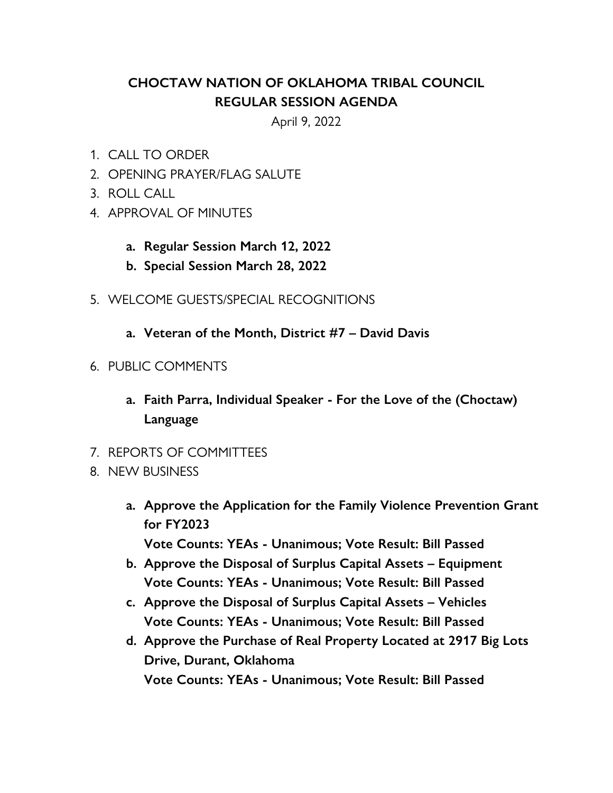## **CHOCTAW NATION OF OKLAHOMA TRIBAL COUNCIL REGULAR SESSION AGENDA**

April 9, 2022

- 1. CALL TO ORDER
- 2. OPENING PRAYER/FLAG SALUTE
- 3. ROLL CALL
- 4. APPROVAL OF MINUTES
	- **a. Regular Session March 12, 2022**
	- **b. Special Session March 28, 2022**
- 5. WELCOME GUESTS/SPECIAL RECOGNITIONS
	- **a. Veteran of the Month, District #7 – David Davis**
- 6. PUBLIC COMMENTS
	- **a. Faith Parra, Individual Speaker - For the Love of the (Choctaw) Language**
- 7. REPORTS OF COMMITTEES
- 8. NEW BUSINESS
	- **a. Approve the Application for the Family Violence Prevention Grant for FY2023 Vote Counts: YEAs - Unanimous; Vote Result: Bill Passed**
	- **b. Approve the Disposal of Surplus Capital Assets – Equipment Vote Counts: YEAs - Unanimous; Vote Result: Bill Passed**
	- **c. Approve the Disposal of Surplus Capital Assets – Vehicles Vote Counts: YEAs - Unanimous; Vote Result: Bill Passed**
	- **d. Approve the Purchase of Real Property Located at 2917 Big Lots Drive, Durant, Oklahoma Vote Counts: YEAs - Unanimous; Vote Result: Bill Passed**